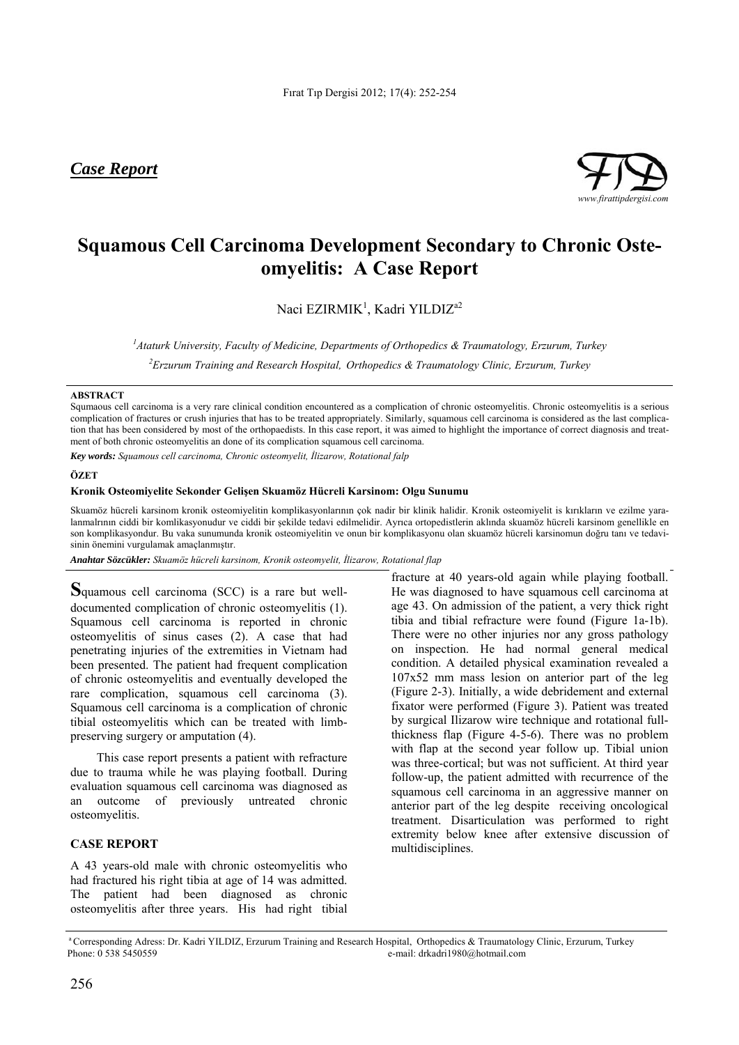*Case Report*



# **Squamous Cell Carcinoma Development Secondary to Chronic Osteomyelitis: A Case Report**

Naci EZIRMIK<sup>1</sup>, Kadri YILDIZ<sup>a2</sup>

*1 Ataturk University, Faculty of Medicine, Departments of Orthopedics & Traumatology, Erzurum, Turkey* 

*2 Erzurum Training and Research Hospital, Orthopedics & Traumatology Clinic, Erzurum, Turkey* 

### **ABSTRACT**

Squmaous cell carcinoma is a very rare clinical condition encountered as a complication of chronic osteomyelitis. Chronic osteomyelitis is a serious complication of fractures or crush injuries that has to be treated appropriately. Similarly, squamous cell carcinoma is considered as the last complication that has been considered by most of the orthopaedists. In this case report, it was aimed to highlight the importance of correct diagnosis and treatment of both chronic osteomyelitis an done of its complication squamous cell carcinoma.

*Key words: Squamous cell carcinoma, Chronic osteomyelit, İlizarow, Rotational falp*

### **ÖZET**

### **Kronik Osteomiyelite Sekonder Gelişen Skuamöz Hücreli Karsinom: Olgu Sunumu**

Skuamöz hücreli karsinom kronik osteomiyelitin komplikasyonlarının çok nadir bir klinik halidir. Kronik osteomiyelit is kırıkların ve ezilme yaralanmalrının ciddi bir komlikasyonudur ve ciddi bir şekilde tedavi edilmelidir. Ayrıca ortopedistlerin aklında skuamöz hücreli karsinom genellikle en son komplikasyondur. Bu vaka sunumunda kronik osteomiyelitin ve onun bir komplikasyonu olan skuamöz hücreli karsinomun doğru tanı ve tedavisinin önemini vurgulamak amaçlanmıştır.

*Anahtar Sözcükler: Skuamöz hücreli karsinom, Kronik osteomyelit, İlizarow, Rotational flap* 

**S**quamous cell carcinoma (SCC) is a rare but welldocumented complication of chronic osteomyelitis (1). Squamous cell carcinoma is reported in chronic osteomyelitis of sinus cases (2). A case that had penetrating injuries of the extremities in Vietnam had been presented. The patient had frequent complication of chronic osteomyelitis and eventually developed the rare complication, squamous cell carcinoma (3). Squamous cell carcinoma is a complication of chronic tibial osteomyelitis which can be treated with limbpreserving surgery or amputation (4).

This case report presents a patient with refracture due to trauma while he was playing football. During evaluation squamous cell carcinoma was diagnosed as an outcome of previously untreated chronic osteomyelitis.

## **CASE REPORT**

A 43 years-old male with chronic osteomyelitis who had fractured his right tibia at age of 14 was admitted. The patient had been diagnosed as chronic osteomyelitis after three years. His had right tibial

fracture at 40 years-old again while playing football. He was diagnosed to have squamous cell carcinoma at age 43. On admission of the patient, a very thick right tibia and tibial refracture were found (Figure 1a-1b). There were no other injuries nor any gross pathology on inspection. He had normal general medical condition. A detailed physical examination revealed a 107x52 mm mass lesion on anterior part of the leg (Figure 2-3). Initially, a wide debridement and external fixator were performed (Figure 3). Patient was treated by surgical Ilizarow wire technique and rotational fullthickness flap (Figure 4-5-6). There was no problem with flap at the second year follow up. Tibial union was three-cortical; but was not sufficient. At third year follow-up, the patient admitted with recurrence of the squamous cell carcinoma in an aggressive manner on anterior part of the leg despite receiving oncological treatment. Disarticulation was performed to right extremity below knee after extensive discussion of multidisciplines.

a Corresponding Adress: Dr. Kadri YILDIZ, Erzurum Training and Research Hospital, Orthopedics & Traumatology Clinic, Erzurum, Turkey Phone: 0 538 5450559 e-mail: drkadri1980@hotmail.com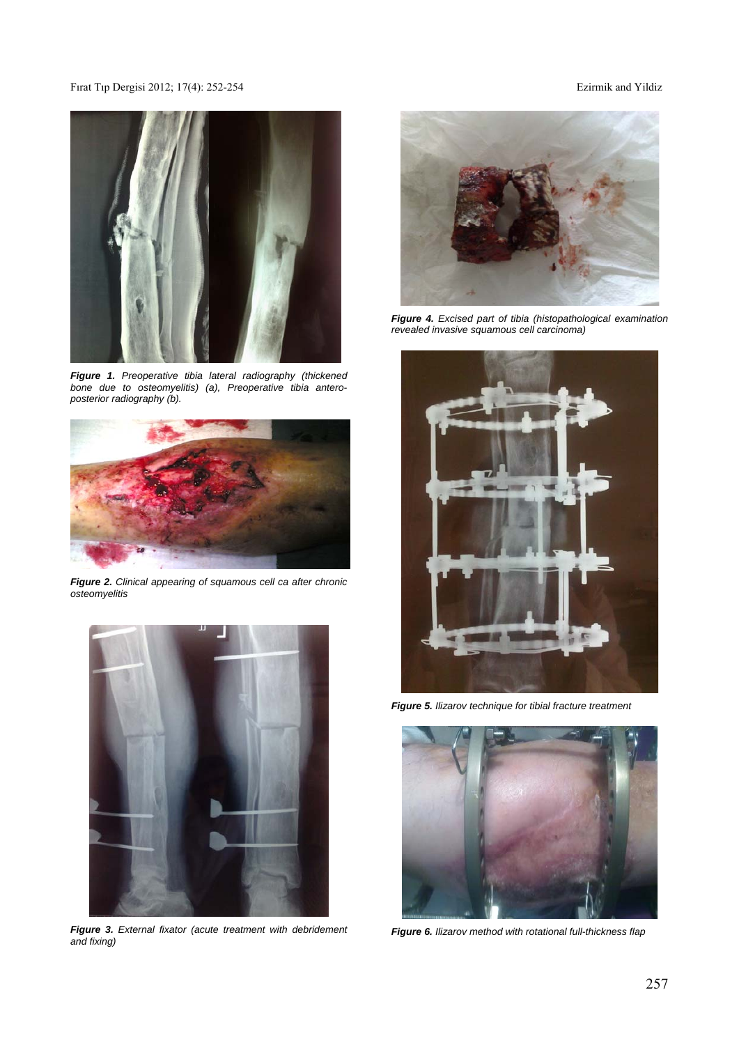## Fırat Tıp Dergisi 2012; 17(4): 252-254 Ezirmik and Yildiz



*Figure 1. Preoperative tibia lateral radiography (thickened bone due to osteomyelitis) (a), Preoperative tibia anteroposterior radiography (b).* 



*Figure 2. Clinical appearing of squamous cell ca after chronic osteomyelitis* 



*Figure 3. External fixator (acute treatment with debridement and fixing)* 



*Figure 4. Excised part of tibia (histopathological examination revealed invasive squamous cell carcinoma)* 



*Figure 5. Ilizarov technique for tibial fracture treatment* 



*Figure 6. Ilizarov method with rotational full-thickness flap*